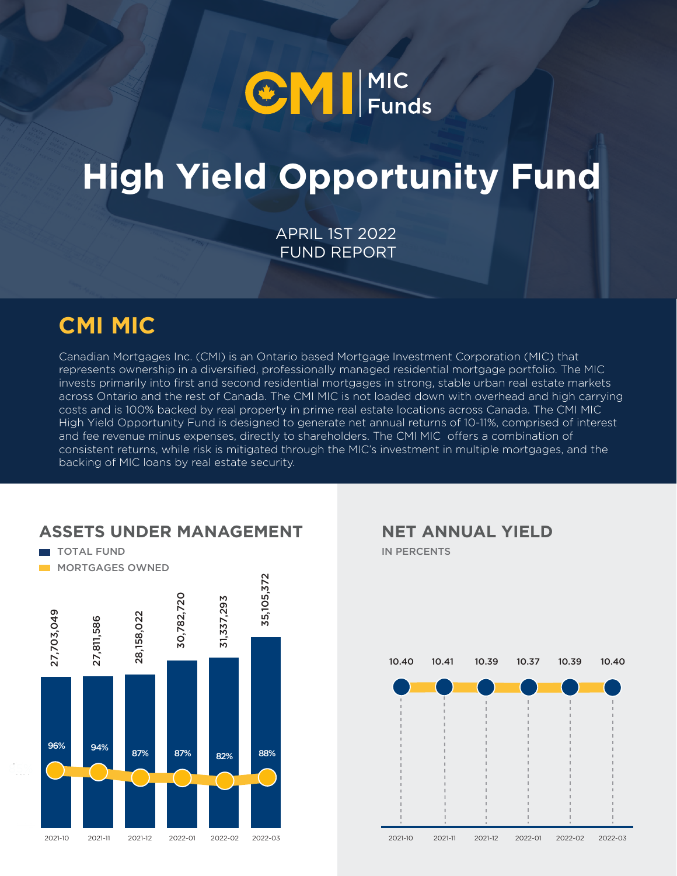

# **High Yield Opportunity Fund**

APRIL 1ST 2022 FUND REPORT

### **CMI MIC**

Canadian Mortgages Inc. (CMI) is an Ontario based Mortgage Investment Corporation (MIC) that represents ownership in a diversified, professionally managed residential mortgage portfolio. The MIC invests primarily into first and second residential mortgages in strong, stable urban real estate markets across Ontario and the rest of Canada. The CMI MIC is not loaded down with overhead and high carrying costs and is 100% backed by real property in prime real estate locations across Canada. The CMI MIC High Yield Opportunity Fund is designed to generate net annual returns of 10-11%, comprised of interest and fee revenue minus expenses, directly to shareholders. The CMI MIC offers a combination of consistent returns, while risk is mitigated through the MIC's investment in multiple mortgages, and the backing of MIC loans by real estate security.



#### **ASSETS UNDER MANAGEMENT**

IN PERCENTS **NET ANNUAL YIELD**

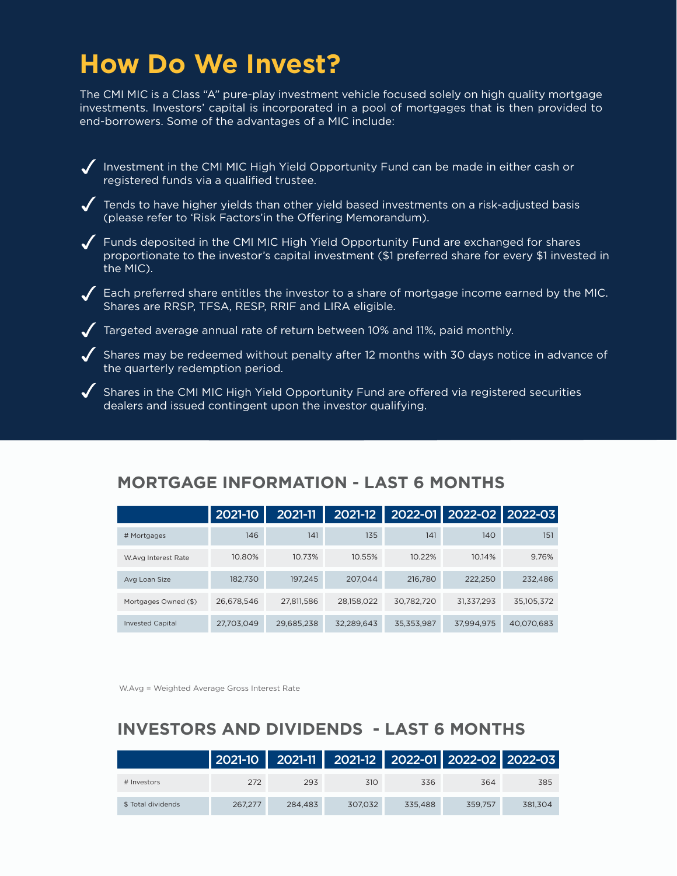### **How Do We Invest?**

The CMI MIC is a Class "A" pure-play investment vehicle focused solely on high quality mortgage investments. Investors' capital is incorporated in a pool of mortgages that is then provided to end-borrowers. Some of the advantages of a MIC include:

Investment in the CMI MIC High Yield Opportunity Fund can be made in either cash or registered funds via a qualified trustee.

 $\sqrt{\phantom{a}}$  Tends to have higher yields than other yield based investments on a risk-adjusted basis (please refer to 'Risk Factors'in the Offering Memorandum).

Funds deposited in the CMI MIC High Yield Opportunity Fund are exchanged for shares proportionate to the investor's capital investment (\$1 preferred share for every \$1 invested in the MIC).

 $\sqrt{ }$  Each preferred share entitles the investor to a share of mortgage income earned by the MIC. Shares are RRSP, TFSA, RESP, RRIF and LIRA eligible.

 $\blacktriangledown$  Targeted average annual rate of return between 10% and 11%, paid monthly.

 $\blacktriangledown$  Shares may be redeemed without penalty after 12 months with 30 days notice in advance of the quarterly redemption period.

 $\blacklozenge$  Shares in the CMI MIC High Yield Opportunity Fund are offered via registered securities dealers and issued contingent upon the investor qualifying.

|                         | 2021-10    | 2021-11    | 2021-12    |            | 2022-01 2022-02 2022-03 |            |
|-------------------------|------------|------------|------------|------------|-------------------------|------------|
| # Mortgages             | 146        | 141        | 135        | 141        | 140                     | 151        |
| W.Avg Interest Rate     | 10.80%     | 10.73%     | 10.55%     | 10.22%     | 10.14%                  | 9.76%      |
| Avg Loan Size           | 182,730    | 197.245    | 207.044    | 216,780    | 222,250                 | 232,486    |
| Mortgages Owned (\$)    | 26,678,546 | 27,811,586 | 28,158,022 | 30,782,720 | 31,337,293              | 35,105,372 |
| <b>Invested Capital</b> | 27,703,049 | 29,685,238 | 32,289,643 | 35,353,987 | 37,994,975              | 40.070.683 |

#### **MORTGAGE INFORMATION - LAST 6 MONTHS**

W.Avg = Weighted Average Gross Interest Rate

#### **INVESTORS AND DIVIDENDS - LAST 6 MONTHS**

|                    |         |         |         |         | 2021-10   2021-11   2021-12   2022-01   2022-02   2022-03 |         |
|--------------------|---------|---------|---------|---------|-----------------------------------------------------------|---------|
| # Investors        | 272     | 293     | 310     | 336     | 364                                                       | 385     |
| \$ Total dividends | 267.277 | 284.483 | 307.032 | 335.488 | 359.757                                                   | 381.304 |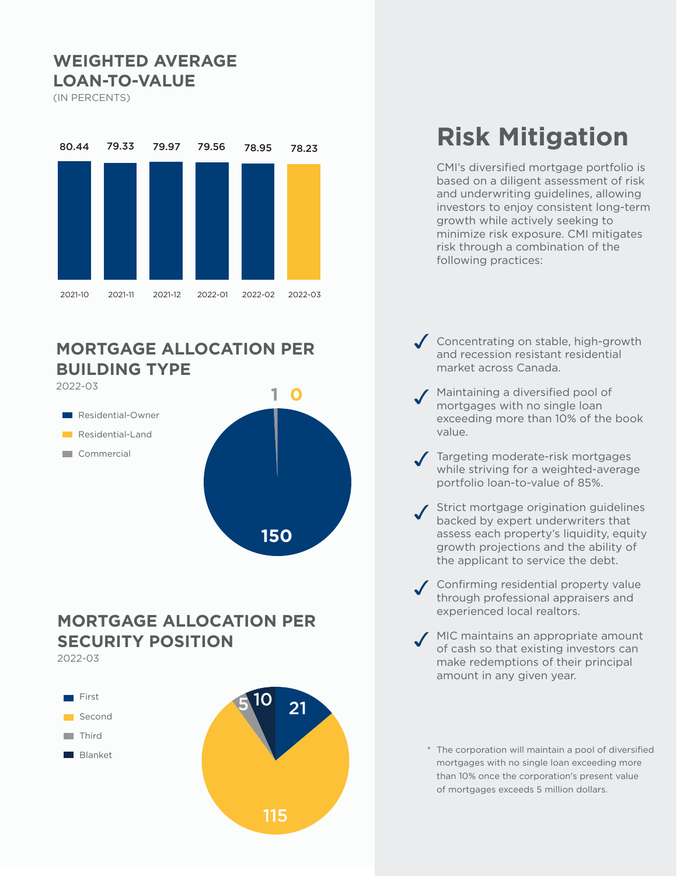#### **WEIGHTED AVERAGE LOAN-TO-VALUE**

(IN PERCENTS)



#### **MORTGAGE ALLOCATION PER BUILDING TYPE**



#### **MORTGAGE ALLOCATION PER SECURITY POSITION**

2022-03



## **Risk Mitigation**

CMI's diversified mortgage portfolio is based on a diligent assessment of risk and underwriting guidelines, allowing investors to enjoy consistent long-term growth while actively seeking to minimize risk exposure. CMI mitigates risk through a combination of the following practices:

- Concentrating on stable, high-growth and recession resistant residential market across Canada.
- Maintaining a diversified pool of mortgages with no single loan exceeding more than 10% of the book value.
- Targeting moderate-risk mortgages while striving for a weighted-average portfolio loan-to-value of 85%.
- Strict mortgage origination guidelines backed by expert underwriters that assess each property's liquidity, equity growth projections and the ability of the applicant to service the debt.
- Confirming residential property value through professional appraisers and experienced local realtors.
- MIC maintains an appropriate amount of cash so that existing investors can make redemptions of their principal amount in any given year.
	- \* The corporation will maintain a pool of diversified mortgages with no single loan exceeding more than 10% once the corporation's present value of mortgages exceeds 5 million dollars.